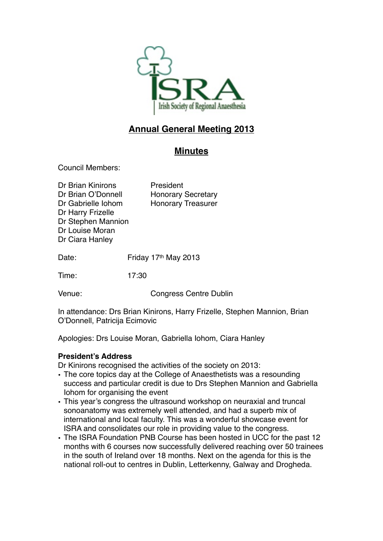

# **Annual General Meeting 2013**

# **Minutes**

Council Members:

| Dr Brian Kinirons<br>Dr Brian O'Donnell<br>Dr Gabrielle Iohom<br>Dr Harry Frizelle<br>Dr Stephen Mannion<br>Dr Louise Moran | President<br><b>Honorary Secretary</b><br><b>Honorary Treasurer</b> |
|-----------------------------------------------------------------------------------------------------------------------------|---------------------------------------------------------------------|
|                                                                                                                             |                                                                     |
| Dr Ciara Hanley                                                                                                             |                                                                     |
|                                                                                                                             |                                                                     |

Date: Friday 17<sup>th</sup> May 2013

Time: 17:30

Venue: Congress Centre Dublin

In attendance: Drs Brian Kinirons, Harry Frizelle, Stephen Mannion, Brian O'Donnell, Patricija Ecimovic

Apologies: Drs Louise Moran, Gabriella Iohom, Ciara Hanley

#### **President's Address**

Dr Kinirons recognised the activities of the society on 2013:

- The core topics day at the College of Anaesthetists was a resounding success and particular credit is due to Drs Stephen Mannion and Gabriella Iohom for organising the event
- This year's congress the ultrasound workshop on neuraxial and truncal sonoanatomy was extremely well attended, and had a superb mix of international and local faculty. This was a wonderful showcase event for ISRA and consolidates our role in providing value to the congress.
- The ISRA Foundation PNB Course has been hosted in UCC for the past 12 months with 6 courses now successfully delivered reaching over 50 trainees in the south of Ireland over 18 months. Next on the agenda for this is the national roll-out to centres in Dublin, Letterkenny, Galway and Drogheda.